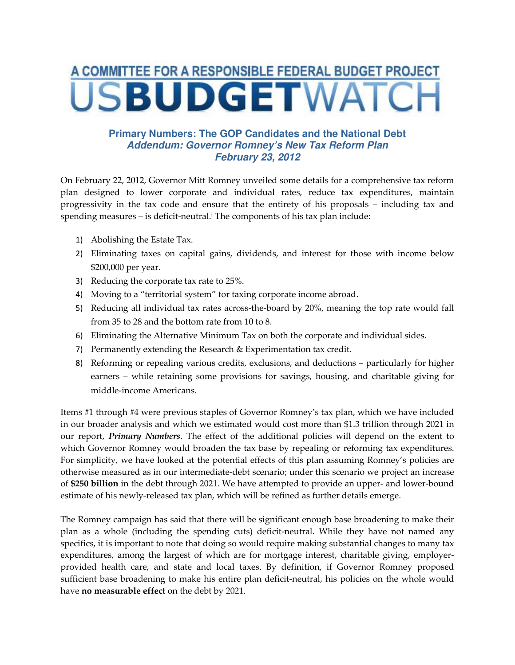## A COMMITTEE FOR A RESPONSIBLE FEDERAL BUDGET PROJECT **JSBUDGETWATC**

## **Primary Numbers: The GOP Candidates and the National Debt Addendum: Governor Romney's New Tax Reform Plan February 23, 2012**

On February 22, 2012, Governor Mitt Romney unveiled some details for a comprehensive tax reform plan designed to lower corporate and individual rates, reduce tax expenditures, maintain progressivity in the tax code and ensure that the entirety of his proposals – including tax and spending measures – is deficit-neutral.<sup>i</sup> The components of his tax plan include:

- 1) Abolishing the Estate Tax.
- 2) Eliminating taxes on capital gains, dividends, and interest for those with income below \$200,000 per year.
- 3) Reducing the corporate tax rate to 25%.
- 4) Moving to a "territorial system" for taxing corporate income abroad.
- 5) Reducing all individual tax rates across-the-board by 20%, meaning the top rate would fall from 35 to 28 and the bottom rate from 10 to 8.
- 6) Eliminating the Alternative Minimum Tax on both the corporate and individual sides.
- 7) Permanently extending the Research & Experimentation tax credit.
- 8) Reforming or repealing various credits, exclusions, and deductions particularly for higher earners – while retaining some provisions for savings, housing, and charitable giving for middle-income Americans.

Items #1 through #4 were previous staples of Governor Romney's tax plan, which we have included in our broader analysis and which we estimated would cost more than \$1.3 trillion through 2021 in our report, Primary Numbers. The effect of the additional policies will depend on the extent to which Governor Romney would broaden the tax base by repealing or reforming tax expenditures. For simplicity, we have looked at the potential effects of this plan assuming Romney's policies are otherwise measured as in our intermediate-debt scenario; under this scenario we project an increase of \$250 billion in the debt through 2021. We have attempted to provide an upper- and lower-bound estimate of his newly-released tax plan, which will be refined as further details emerge.

The Romney campaign has said that there will be significant enough base broadening to make their plan as a whole (including the spending cuts) deficit-neutral. While they have not named any specifics, it is important to note that doing so would require making substantial changes to many tax expenditures, among the largest of which are for mortgage interest, charitable giving, employerprovided health care, and state and local taxes. By definition, if Governor Romney proposed sufficient base broadening to make his entire plan deficit-neutral, his policies on the whole would have no measurable effect on the debt by 2021.